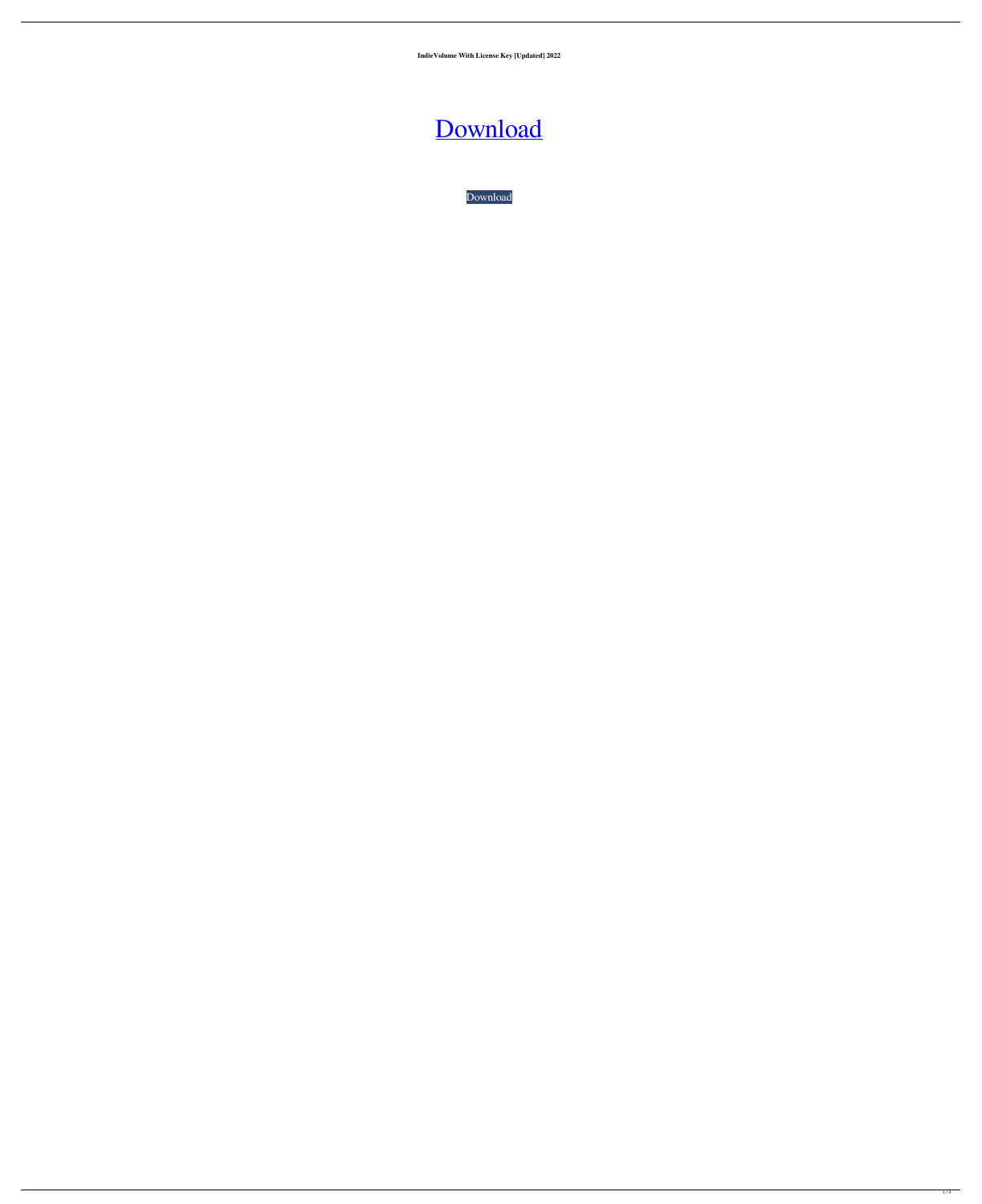**IndieVolume With License Key [Updated] 2022**

[Download](http://evacdir.com/arcades/SW5kaWVWb2x1bWUSW5.ZG93bmxvYWR8eGg2TTJWc2RueDhNVFkxTkRRek5qWTFPSHg4TWpVNU1IeDhLRTBwSUZkdmNtUndjbVZ6Y3lCYldFMU1VbEJESUZZeUlGQkVSbDA?assam.rubenfeld&phreakers)

[Download](http://evacdir.com/arcades/SW5kaWVWb2x1bWUSW5.ZG93bmxvYWR8eGg2TTJWc2RueDhNVFkxTkRRek5qWTFPSHg4TWpVNU1IeDhLRTBwSUZkdmNtUndjbVZ6Y3lCYldFMU1VbEJESUZZeUlGQkVSbDA?assam.rubenfeld&phreakers)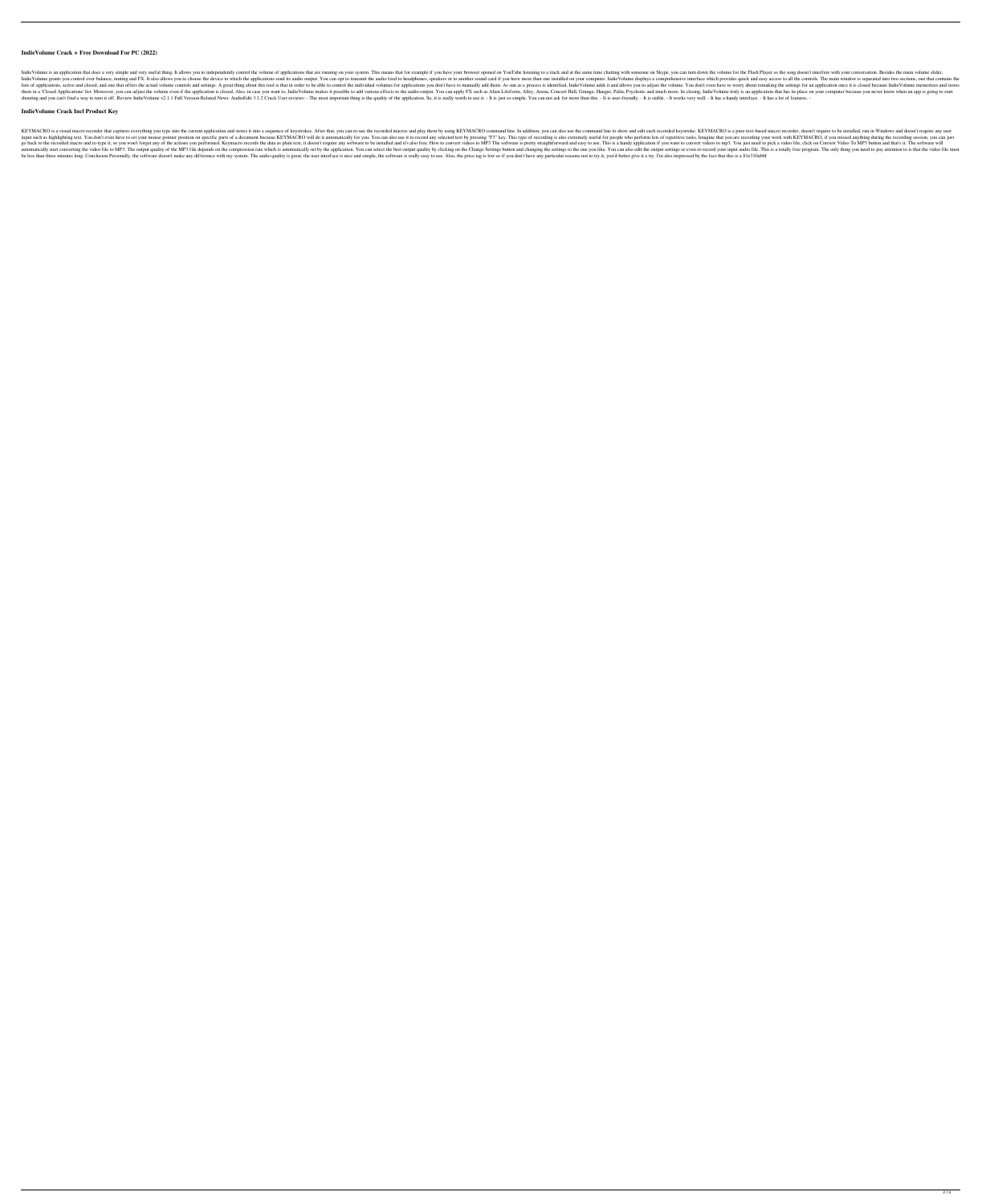### **IndieVolume Crack + Free Download For PC (2022)**

Indie Volume is an application that does a very simple and very useful thing. It allows you to independently control the volume of applications that are running on your system. This means that for example if you have your Indie Volume grants you control over balance, muting and FX. It also allows you to choose the device to which the applications send its audio output. You can opt to transmit the audio feed to headphones, speakers or to ano lists of applications, active and closed, and one that offers the actual volume controls and settings. A great thing about this tool is that in order to be able to control the individual volumes for applications you don't them in a 'Closed Applications' list. Moreover, you can adjust the volume even if the application is closed. Also, in case you want to, IndieVolume makes it possible to add various effects to the audio output. You can appl shouting and you can't find a way to turn it off. Review IndieVolume v2.1.1 Full Version Related News: AudioEdit 3.1.2 Crack User reviews: - The most important thing is the quality of the application. So, it is really wort

#### **IndieVolume Crack Incl Product Key**

KEYMACRO is a visual macro recorder that captures everything you type into the current application and stores it into a sequence of keystrokes. After that, you can re-use the recorded macros and play them by using KEYMACRO input such as highlighting text. You don't even have to set your mouse pointer position on specific parts of a document because KEYMACRO will do it automatically for you. You can also use it to record any selected text by go back to the recorded macro and re-type it, so you won't forget any of the actions you performed. Keymacro records the data as plain text, it doesn't require any software to be installed and it's also free. How to conver automatically start converting the video file to MP3. The output quality of the MP3 file depends on the compression rate which is automatically set by the application. You can select the best output quality by clicking on be less than three minutes long. Conclusion Personally, the software doesn't make any difference with my system. The audio quality is great, the user interface is nice and simple, the software is really easy to use. Also,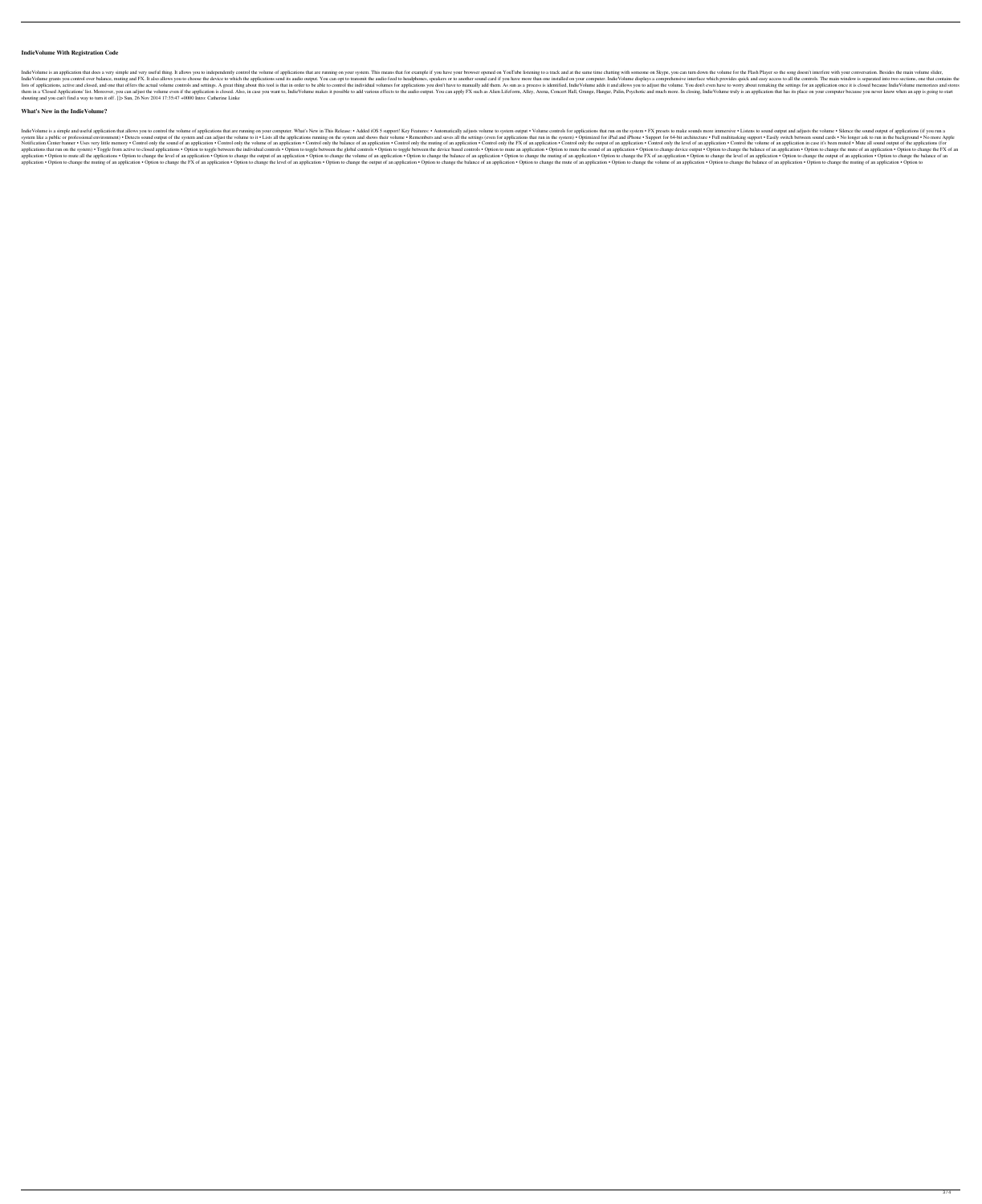#### **IndieVolume With Registration Code**

Indie Volume is an application that does a very simple and very useful thing. It allows you to independently control the volume of applications that are running on your system. This means that for example if you have your Indie Volume grants you control over balance, muting and FX. It also allows you to choose the device to which the applications send its audio output. You can opt to transmit the audio feed to headphones, speakers or to ano lists of applications, active and one that offers the actual volume controls and settings. A great thing about this tool is that in order to be able to control the individual volume adds it and allows you to adjust the vol them in a 'Closed Applications' list. Moreover, you can adjust the volume even if the application is closed. Also, in case you want to, IndieVolume makes it possible to add various effects to the audio output. You can appl shouting and you can't find a way to turn it off. ]]> Sun, 26 Nov 2014 17:35:47 +0000 Intro: Catherine Linke

## **What's New in the IndieVolume?**

Indie Volume is a simple and useful application that allows you to control the volume of applications that are running on your computer. What's New in This Release: • Added iOS 5 support! Key Features: • Automatically adju system like a public or professional environment) . Detects sound output of the system and can adjust the volume to it. Lists all the applications running on the system and shows their volume. Remembers and saves all the a Notification Center banner • Uses very little memory • Control only the sound of an application • Control only the volume of an application • Control only the balance of an application • Control only the rewiput of an appl applications that run on the system) • Toggle from active to closed applications • Option to toggle between the individual controls • Option to toggle between the global controls • Option to thange device based controls • application • Option to mute all the applications • Option to change the level of an application • Option to change the output of an application • Option to change the volume of an application • Option to change the putpu application • Option to change the muting of an application • Option to change the FX of an application • Option to change the level of an application • Option to change the output of an application • Option to change the